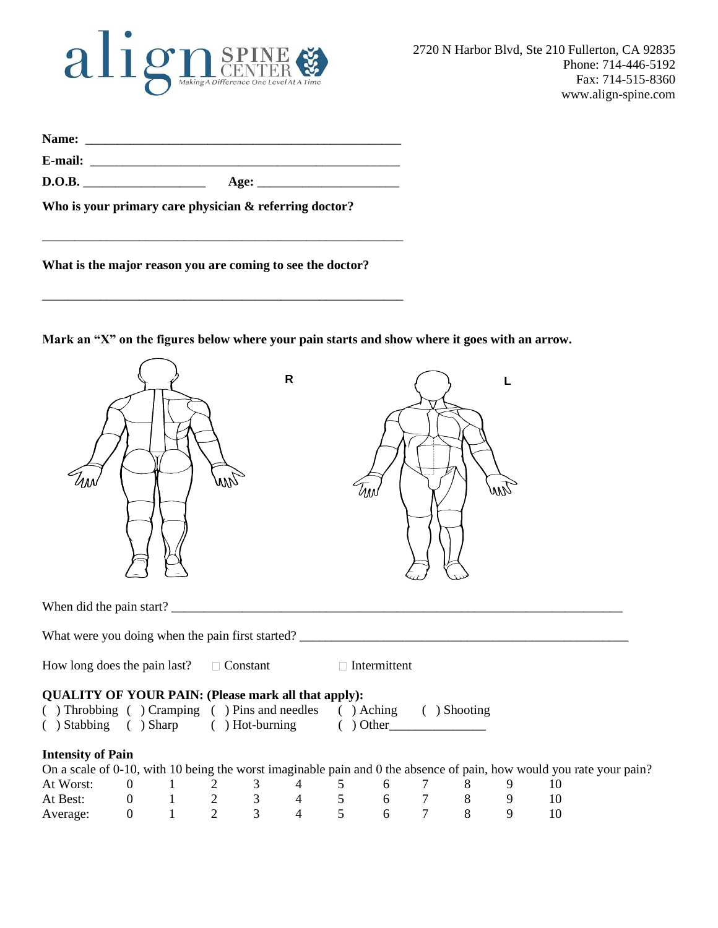# align SPINE

| Name:   |      |  |
|---------|------|--|
| E-mail: |      |  |
| D.O.B.  | Age: |  |

\_\_\_\_\_\_\_\_\_\_\_\_\_\_\_\_\_\_\_\_\_\_\_\_\_\_\_\_\_\_\_\_\_\_\_\_\_\_\_\_\_\_\_\_\_\_\_\_\_\_\_\_\_\_\_\_

\_\_\_\_\_\_\_\_\_\_\_\_\_\_\_\_\_\_\_\_\_\_\_\_\_\_\_\_\_\_\_\_\_\_\_\_\_\_\_\_\_\_\_\_\_\_\_\_\_\_\_\_\_\_\_\_

**Who is your primary care physician & referring doctor?** 

**What is the major reason you are coming to see the doctor?**

**Mark an "X" on the figures below where your pain starts and show where it goes with an arrow.** 

|                                                                                                                                                                                        |  | WW | $\mathsf{R}$ | Им |  | wiq |    |  |
|----------------------------------------------------------------------------------------------------------------------------------------------------------------------------------------|--|----|--------------|----|--|-----|----|--|
|                                                                                                                                                                                        |  |    |              |    |  |     |    |  |
|                                                                                                                                                                                        |  |    |              |    |  |     |    |  |
| How long does the pain last? $\Box$ Constant $\Box$ Intermittent                                                                                                                       |  |    |              |    |  |     |    |  |
| <b>QUALITY OF YOUR PAIN: (Please mark all that apply):</b><br>( ) Throbbing ( ) Cramping ( ) Pins and needles ( ) Aching ( ) Shooting ( ) Stabbing ( ) Sharp ( ) Hot-burning ( ) Other |  |    |              |    |  |     |    |  |
| <b>Intensity of Pain</b>                                                                                                                                                               |  |    |              |    |  |     |    |  |
| On a scale of 0-10, with 10 being the worst imaginable pain and 0 the absence of pain, how would you rate your pain?                                                                   |  |    |              |    |  |     |    |  |
| At Worst:                                                                                                                                                                              |  |    |              |    |  |     | 10 |  |
| At Best:                                                                                                                                                                               |  |    |              |    |  |     | 10 |  |
| Average:                                                                                                                                                                               |  |    |              |    |  |     | 10 |  |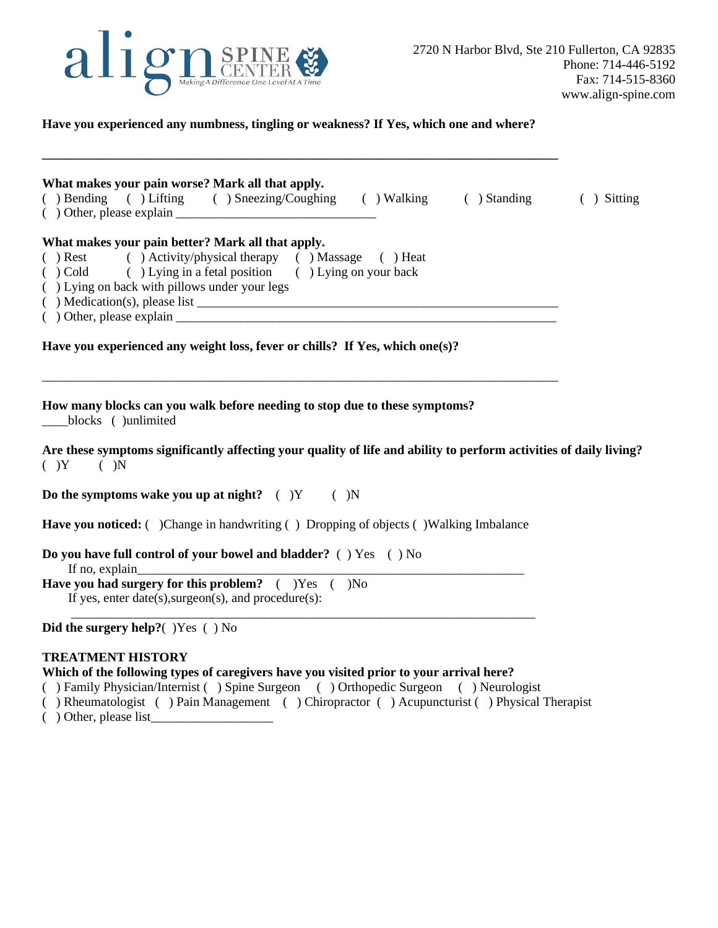

### **Have you experienced any numbness, tingling or weakness? If Yes, which one and where?**

**\_\_\_\_\_\_\_\_\_\_\_\_\_\_\_\_\_\_\_\_\_\_\_\_\_\_\_\_\_\_\_\_\_\_\_\_\_\_\_\_\_\_\_\_\_\_\_\_\_\_\_\_\_\_\_\_\_\_\_\_\_\_\_\_\_\_\_\_\_\_\_\_\_\_\_\_\_\_\_\_**

| What makes your pain worse? Mark all that apply.<br>( ) Bending ( ) Lifting ( ) Sneezing/Coughing ( ) Walking ( ) Standing ( ) Sitting<br>$($ ) Other, please explain $\_\_\_\_\_\_\_\_\_\_\_\_\_\_$                                                                 |  |
|----------------------------------------------------------------------------------------------------------------------------------------------------------------------------------------------------------------------------------------------------------------------|--|
| What makes your pain better? Mark all that apply.<br>() Rest () Activity/physical therapy () Massage () Heat<br>( ) Cold ( ) Lying in a fetal position ( ) Lying on your back<br>() Lying on back with pillows under your legs<br>$($ ) Other, please explain $\_\_$ |  |
| Have you experienced any weight loss, fever or chills? If Yes, which one(s)?                                                                                                                                                                                         |  |
| How many blocks can you walk before needing to stop due to these symptoms?<br>blocks ()unlimited<br>Are these symptoms significantly affecting your quality of life and ability to perform activities of daily living?                                               |  |
| $(Y - Y)$                                                                                                                                                                                                                                                            |  |
| Do the symptoms wake you up at night? $($ $)$ Y $($ $)$ N                                                                                                                                                                                                            |  |
| <b>Have you noticed:</b> ( )Change in handwriting ( ) Dropping of objects ( )Walking Imbalance                                                                                                                                                                       |  |
| Do you have full control of your bowel and bladder? ( ) Yes ( ) No<br>If no, explain                                                                                                                                                                                 |  |
| Have you had surgery for this problem? () Yes () No<br>If yes, enter $date(s),\nsurgeon(s),$ and $procedure(s)$ :                                                                                                                                                    |  |
| Did the surgery help? $($ )Yes $($ ) No                                                                                                                                                                                                                              |  |

## **TREATMENT HISTORY**

#### **Which of the following types of caregivers have you visited prior to your arrival here?**

- ( ) Family Physician/Internist ( ) Spine Surgeon ( ) Orthopedic Surgeon ( ) Neurologist
- ( ) Rheumatologist ( ) Pain Management ( ) Chiropractor ( ) Acupuncturist ( ) Physical Therapist
- $($  ) Other, please list\_